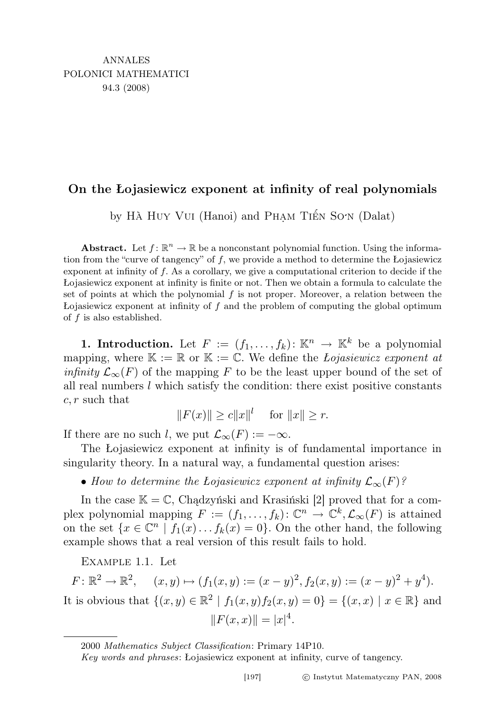## On the Łojasiewicz exponent at infinity of real polynomials

by HÀ HUY VUI (Hanoi) and PHAM TIẾN SON (Dalat)

**Abstract.** Let  $f: \mathbb{R}^n \to \mathbb{R}$  be a nonconstant polynomial function. Using the information from the "curve of tangency" of f, we provide a method to determine the Łojasiewicz exponent at infinity of f. As a corollary, we give a computational criterion to decide if the Łojasiewicz exponent at infinity is finite or not. Then we obtain a formula to calculate the set of points at which the polynomial  $f$  is not proper. Moreover, a relation between the Lojasiewicz exponent at infinity of  $f$  and the problem of computing the global optimum of  $f$  is also established.

1. Introduction. Let  $F := (f_1, \ldots, f_k) : \mathbb{K}^n \to \mathbb{K}^k$  be a polynomial mapping, where  $\mathbb{K} := \mathbb{R}$  or  $\mathbb{K} := \mathbb{C}$ . We define the *Lojasiewicz exponent at infinity*  $\mathcal{L}_{\infty}(F)$  of the mapping F to be the least upper bound of the set of all real numbers  $l$  which satisfy the condition: there exist positive constants  $c, r$  such that

 $||F(x)|| \ge c||x||^l$  for  $||x|| \ge r$ .

If there are no such l, we put  $\mathcal{L}_{\infty}(F) := -\infty$ .

The Łojasiewicz exponent at infinity is of fundamental importance in singularity theory. In a natural way, a fundamental question arises:

• How to determine the Lojasiewicz exponent at infinity  $\mathcal{L}_{\infty}(F)$ ?

In the case  $\mathbb{K} = \mathbb{C}$ , Chądzyński and Krasiński [2] proved that for a complex polynomial mapping  $F := (f_1, \ldots, f_k) : \mathbb{C}^n \to \mathbb{C}^k, \mathcal{L}_{\infty}(F)$  is attained on the set  $\{x \in \mathbb{C}^n \mid f_1(x) \dots f_k(x) = 0\}$ . On the other hand, the following example shows that a real version of this result fails to hold.

Example 1.1. Let

 $F: \mathbb{R}^2 \to \mathbb{R}^2$ ,  $(x, y) \mapsto (f_1(x, y) := (x - y)^2, f_2(x, y) := (x - y)^2 + y^4)$ . It is obvious that  $\{(x, y) \in \mathbb{R}^2 \mid f_1(x, y)f_2(x, y) = 0\} = \{(x, x) \mid x \in \mathbb{R}\}\$ and  $||F(x, x)|| = |x|^4.$ 

<sup>2000</sup> Mathematics Subject Classification: Primary 14P10.

Key words and phrases: Łojasiewicz exponent at infinity, curve of tangency.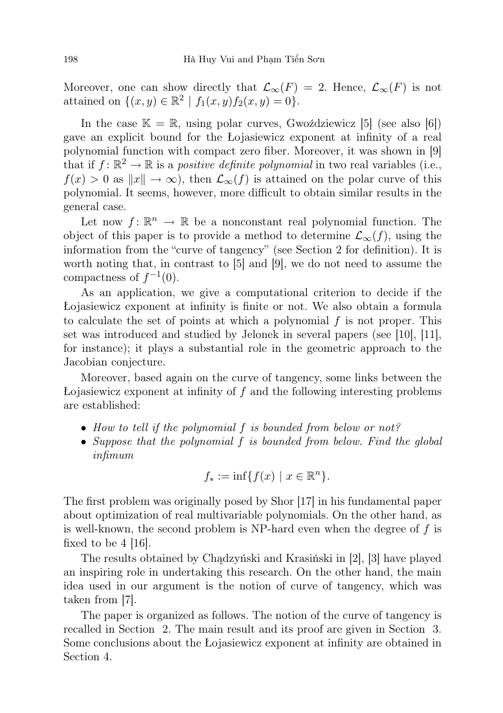Moreover, one can show directly that  $\mathcal{L}_{\infty}(F) = 2$ . Hence,  $\mathcal{L}_{\infty}(F)$  is not attained on  $\{(x, y) \in \mathbb{R}^2 \mid f_1(x, y) f_2(x, y) = 0\}.$ 

In the case  $\mathbb{K} = \mathbb{R}$ , using polar curves, Gwoździewicz [5] (see also [6]) gave an explicit bound for the Łojasiewicz exponent at infinity of a real polynomial function with compact zero fiber. Moreover, it was shown in [9] that if  $f: \mathbb{R}^2 \to \mathbb{R}$  is a positive definite polynomial in two real variables (i.e.,  $f(x) > 0$  as  $||x|| \to \infty$ , then  $\mathcal{L}_{\infty}(f)$  is attained on the polar curve of this polynomial. It seems, however, more difficult to obtain similar results in the general case.

Let now  $f: \mathbb{R}^n \to \mathbb{R}$  be a nonconstant real polynomial function. The object of this paper is to provide a method to determine  $\mathcal{L}_{\infty}(f)$ , using the information from the "curve of tangency" (see Section 2 for definition). It is worth noting that, in contrast to [5] and [9], we do not need to assume the compactness of  $f^{-1}(0)$ .

As an application, we give a computational criterion to decide if the Łojasiewicz exponent at infinity is finite or not. We also obtain a formula to calculate the set of points at which a polynomial  $f$  is not proper. This set was introduced and studied by Jelonek in several papers (see [10], [11], for instance); it plays a substantial role in the geometric approach to the Jacobian conjecture.

Moreover, based again on the curve of tangency, some links between the  $\Delta$ Lojasiewicz exponent at infinity of f and the following interesting problems are established:

- How to tell if the polynomial f is bounded from below or not?
- Suppose that the polynomial f is bounded from below. Find the global infimum

$$
f_* := \inf\{f(x) \mid x \in \mathbb{R}^n\}.
$$

The first problem was originally posed by Shor [17] in his fundamental paper about optimization of real multivariable polynomials. On the other hand, as is well-known, the second problem is NP-hard even when the degree of  $f$  is fixed to be  $4 \vert 16 \vert$ .

The results obtained by Chądzyński and Krasiński in [2], [3] have played an inspiring role in undertaking this research. On the other hand, the main idea used in our argument is the notion of curve of tangency, which was taken from [7].

The paper is organized as follows. The notion of the curve of tangency is recalled in Section 2. The main result and its proof are given in Section 3. Some conclusions about the Łojasiewicz exponent at infinity are obtained in Section 4.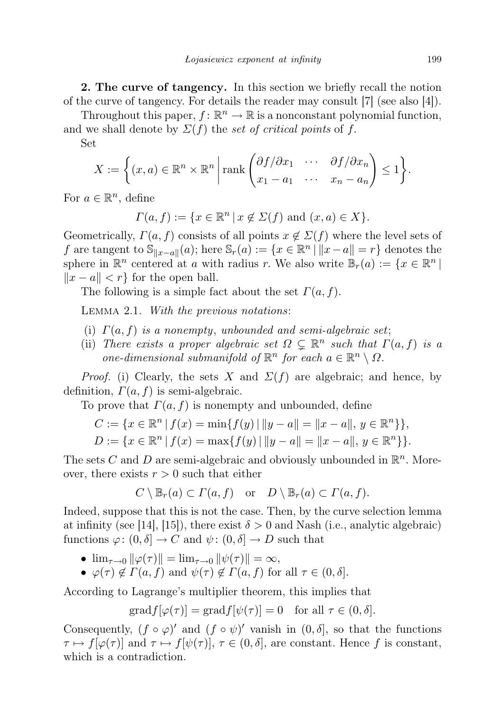2. The curve of tangency. In this section we briefly recall the notion of the curve of tangency. For details the reader may consult [7] (see also [4]).

Throughout this paper,  $f: \mathbb{R}^n \to \mathbb{R}$  is a nonconstant polynomial function, and we shall denote by  $\Sigma(f)$  the set of critical points of f.

Set

$$
X := \left\{ (x, a) \in \mathbb{R}^n \times \mathbb{R}^n \middle| \operatorname{rank} \begin{pmatrix} \partial f / \partial x_1 & \cdots & \partial f / \partial x_n \\ x_1 - a_1 & \cdots & x_n - a_n \end{pmatrix} \le 1 \right\}.
$$

For  $a \in \mathbb{R}^n$ , define

$$
\Gamma(a, f) := \{ x \in \mathbb{R}^n \mid x \notin \Sigma(f) \text{ and } (x, a) \in X \}.
$$

Geometrically,  $\Gamma(a, f)$  consists of all points  $x \notin \Sigma(f)$  where the level sets of f are tangent to  $\mathbb{S}_{\|x-a\|}(a)$ ; here  $\mathbb{S}_r(a) := \{x \in \mathbb{R}^n \mid ||x-a|| = r\}$  denotes the sphere in  $\mathbb{R}^n$  centered at a with radius r. We also write  $\mathbb{B}_r(a) := \{x \in \mathbb{R}^n \mid$  $||x - a|| < r$  for the open ball.

The following is a simple fact about the set  $\Gamma(a, f)$ .

Lemma 2.1. With the previous notations:

- (i)  $\Gamma(a, f)$  is a nonempty, unbounded and semi-algebraic set;
- (ii) There exists a proper algebraic set  $\Omega \subsetneq \mathbb{R}^n$  such that  $\Gamma(a, f)$  is a one-dimensional submanifold of  $\mathbb{R}^n$  for each  $a \in \mathbb{R}^n \setminus \Omega$ .

*Proof.* (i) Clearly, the sets X and  $\Sigma(f)$  are algebraic; and hence, by definition,  $\Gamma(a, f)$  is semi-algebraic.

To prove that  $\Gamma(a, f)$  is nonempty and unbounded, define

$$
C := \{ x \in \mathbb{R}^n \mid f(x) = \min\{ f(y) \mid ||y - a|| = ||x - a||, y \in \mathbb{R}^n \} \},
$$
  

$$
D := \{ x \in \mathbb{R}^n \mid f(x) = \max\{ f(y) \mid ||y - a|| = ||x - a||, y \in \mathbb{R}^n \} \}.
$$

The sets C and D are semi-algebraic and obviously unbounded in  $\mathbb{R}^n$ . Moreover, there exists  $r > 0$  such that either

$$
C \setminus \mathbb{B}_r(a) \subset \Gamma(a, f) \quad \text{or} \quad D \setminus \mathbb{B}_r(a) \subset \Gamma(a, f).
$$

Indeed, suppose that this is not the case. Then, by the curve selection lemma at infinity (see [14], [15]), there exist  $\delta > 0$  and Nash (i.e., analytic algebraic) functions  $\varphi: (0, \delta] \to C$  and  $\psi: (0, \delta] \to D$  such that

- $\lim_{\tau \to 0} ||\varphi(\tau)|| = \lim_{\tau \to 0} ||\psi(\tau)|| = \infty$ ,
- $\varphi(\tau) \notin \Gamma(a, f)$  and  $\psi(\tau) \notin \Gamma(a, f)$  for all  $\tau \in (0, \delta].$

According to Lagrange's multiplier theorem, this implies that

$$
\mathrm{grad} f[\varphi(\tau)] = \mathrm{grad} f[\psi(\tau)] = 0 \text{ for all } \tau \in (0, \delta].
$$

Consequently,  $(f \circ \varphi)'$  and  $(f \circ \psi)'$  vanish in  $(0, \delta]$ , so that the functions  $\tau \mapsto f[\varphi(\tau)]$  and  $\tau \mapsto f[\psi(\tau)], \tau \in (0, \delta]$ , are constant. Hence f is constant, which is a contradiction.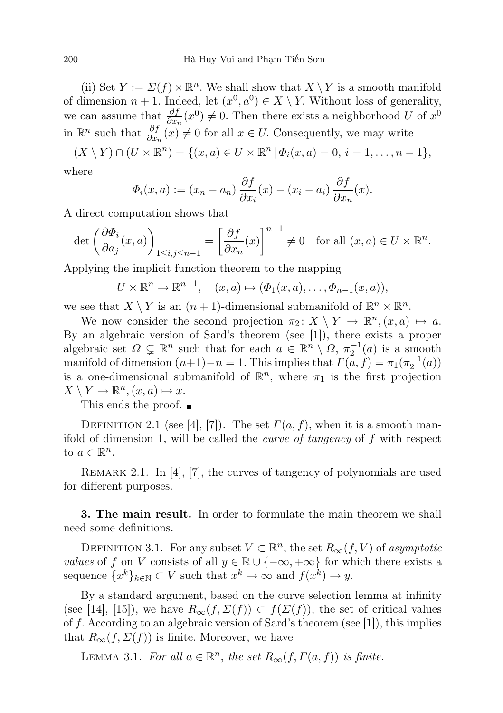(ii) Set  $Y := \Sigma(f) \times \mathbb{R}^n$ . We shall show that  $X \setminus Y$  is a smooth manifold of dimension  $n + 1$ . Indeed, let  $(x^0, a^0) \in X \setminus Y$ . Without loss of generality, we can assume that  $\frac{\partial f}{\partial x_n}(x^0) \neq 0$ . Then there exists a neighborhood U of  $x^0$ in  $\mathbb{R}^n$  such that  $\frac{\partial f}{\partial x_n}(x) \neq 0$  for all  $x \in U$ . Consequently, we may write

 $(X \setminus Y) \cap (U \times \mathbb{R}^n) = \{(x, a) \in U \times \mathbb{R}^n \mid \Phi_i(x, a) = 0, i = 1, \ldots, n-1\},\$ 

where

$$
\Phi_i(x, a) := (x_n - a_n) \frac{\partial f}{\partial x_i}(x) - (x_i - a_i) \frac{\partial f}{\partial x_n}(x).
$$

A direct computation shows that

$$
\det\left(\frac{\partial \Phi_i}{\partial a_j}(x,a)\right)_{1\leq i,j\leq n-1} = \left[\frac{\partial f}{\partial x_n}(x)\right]^{n-1} \neq 0 \quad \text{for all } (x,a) \in U \times \mathbb{R}^n.
$$

Applying the implicit function theorem to the mapping

$$
U \times \mathbb{R}^n \to \mathbb{R}^{n-1}, \quad (x, a) \mapsto (\Phi_1(x, a), \dots, \Phi_{n-1}(x, a)),
$$

we see that  $X \setminus Y$  is an  $(n + 1)$ -dimensional submanifold of  $\mathbb{R}^n \times \mathbb{R}^n$ .

We now consider the second projection  $\pi_2 \colon X \setminus Y \to \mathbb{R}^n, (x, a) \mapsto a$ . By an algebraic version of Sard's theorem (see [1]), there exists a proper algebraic set  $\Omega \subsetneq \mathbb{R}^n$  such that for each  $a \in \mathbb{R}^n \setminus \Omega$ ,  $\pi_2^{-1}(a)$  is a smooth manifold of dimension  $(n+1)-n=1$ . This implies that  $\Gamma(a, f) = \pi_1(\pi_2^{-1}(a))$ is a one-dimensional submanifold of  $\mathbb{R}^n$ , where  $\pi_1$  is the first projection  $X \setminus Y \to \mathbb{R}^n, (x, a) \mapsto x.$ 

This ends the proof.

DEFINITION 2.1 (see [4], [7]). The set  $\Gamma(a, f)$ , when it is a smooth manifold of dimension 1, will be called the *curve of tangency* of  $f$  with respect to  $a \in \mathbb{R}^n$ .

REMARK 2.1. In [4], [7], the curves of tangency of polynomials are used for different purposes.

3. The main result. In order to formulate the main theorem we shall need some definitions.

DEFINITION 3.1. For any subset  $V \subset \mathbb{R}^n$ , the set  $R_\infty(f, V)$  of asymptotic values of f on V consists of all  $y \in \mathbb{R} \cup \{-\infty, +\infty\}$  for which there exists a sequence  ${x^k}_{k \in \mathbb{N}} \subset V$  such that  $x^k \to \infty$  and  $f(x^k) \to y$ .

By a standard argument, based on the curve selection lemma at infinity (see [14], [15]), we have  $R_{\infty}(f, \Sigma(f)) \subset f(\Sigma(f))$ , the set of critical values of f. According to an algebraic version of Sard's theorem (see [1]), this implies that  $R_{\infty}(f, \Sigma(f))$  is finite. Moreover, we have

LEMMA 3.1. For all  $a \in \mathbb{R}^n$ , the set  $R_\infty(f, \Gamma(a, f))$  is finite.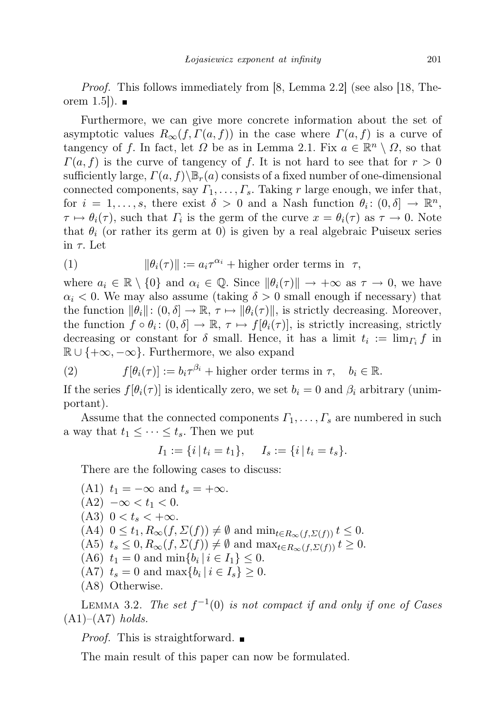Proof. This follows immediately from [8, Lemma 2.2] (see also [18, Theorem  $1.5$ .

Furthermore, we can give more concrete information about the set of asymptotic values  $R_{\infty}(f, \Gamma(a, f))$  in the case where  $\Gamma(a, f)$  is a curve of tangency of f. In fact, let  $\Omega$  be as in Lemma 2.1. Fix  $a \in \mathbb{R}^n \setminus \Omega$ , so that  $\Gamma(a, f)$  is the curve of tangency of f. It is not hard to see that for  $r > 0$ sufficiently large,  $\Gamma(a, f)\Bra_{r}(a)$  consists of a fixed number of one-dimensional connected components, say  $\Gamma_1, \ldots, \Gamma_s$ . Taking r large enough, we infer that, for  $i = 1, ..., s$ , there exist  $\delta > 0$  and a Nash function  $\theta_i : (0, \delta] \to \mathbb{R}^n$ ,  $\tau \mapsto \theta_i(\tau)$ , such that  $\Gamma_i$  is the germ of the curve  $x = \theta_i(\tau)$  as  $\tau \to 0$ . Note that  $\theta_i$  (or rather its germ at 0) is given by a real algebraic Puiseux series in  $\tau$ . Let

(1) 
$$
\|\theta_i(\tau)\| := a_i \tau^{\alpha_i} + \text{higher order terms in } \tau,
$$

where  $a_i \in \mathbb{R} \setminus \{0\}$  and  $\alpha_i \in \mathbb{Q}$ . Since  $\|\theta_i(\tau)\| \to +\infty$  as  $\tau \to 0$ , we have  $\alpha_i$  < 0. We may also assume (taking  $\delta > 0$  small enough if necessary) that the function  $\|\theta_i\|: (0, \delta] \to \mathbb{R}, \tau \mapsto \|\theta_i(\tau)\|$ , is strictly decreasing. Moreover, the function  $f \circ \theta_i : (0, \delta] \to \mathbb{R}, \tau \mapsto f[\theta_i(\tau)],$  is strictly increasing, strictly decreasing or constant for  $\delta$  small. Hence, it has a limit  $t_i := \lim_{\Gamma_i} f$  in  $\mathbb{R} \cup \{+\infty, -\infty\}$ . Furthermore, we also expand

(2) 
$$
f[\theta_i(\tau)] := b_i \tau^{\beta_i} + \text{higher order terms in } \tau, \quad b_i \in \mathbb{R}.
$$

If the series  $f[\theta_i(\tau)]$  is identically zero, we set  $b_i = 0$  and  $\beta_i$  arbitrary (unimportant).

Assume that the connected components  $\Gamma_1, \ldots, \Gamma_s$  are numbered in such a way that  $t_1 \leq \cdots \leq t_s$ . Then we put

$$
I_1 := \{i \mid t_i = t_1\}, \quad I_s := \{i \mid t_i = t_s\}.
$$

There are the following cases to discuss:

\n- (A1) 
$$
t_1 = -\infty
$$
 and  $t_s = +\infty$ .
\n- (A2)  $-\infty < t_1 < 0$ .
\n- (A3)  $0 < t_s < +\infty$ .
\n- (A4)  $0 \leq t_1, R_{\infty}(f, \Sigma(f)) \neq \emptyset$  and  $\min_{t \in R_{\infty}(f, \Sigma(f))} t \leq 0$ .
\n- (A5)  $t_s \leq 0, R_{\infty}(f, \Sigma(f)) \neq \emptyset$  and  $\max_{t \in R_{\infty}(f, \Sigma(f))} t \geq 0$ .
\n- (A6)  $t_1 = 0$  and  $\min\{b_i \mid i \in I_1\} \leq 0$ .
\n- (A7)  $t_s = 0$  and  $\max\{b_i \mid i \in I_s\} \geq 0$ .
\n- (A8) Otherwise.
\n

LEMMA 3.2. The set  $f^{-1}(0)$  is not compact if and only if one of Cases  $(A1)–(A7)$  holds.

*Proof.* This is straightforward.  $\blacksquare$ 

The main result of this paper can now be formulated.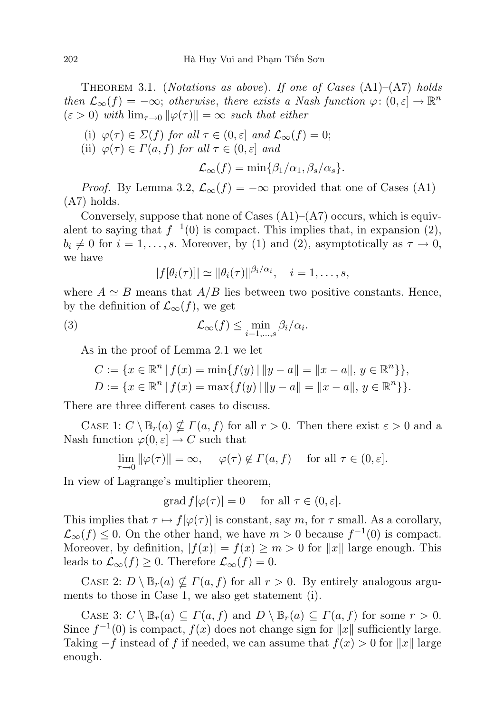THEOREM 3.1. (*Notations as above*). If one of Cases  $(A1)$ – $(A7)$  holds then  $\mathcal{L}_{\infty}(f) = -\infty$ ; otherwise, there exists a Nash function  $\varphi: (0, \varepsilon] \to \mathbb{R}^n$  $(\varepsilon > 0)$  with  $\lim_{\tau \to 0} ||\varphi(\tau)|| = \infty$  such that either

- (i)  $\varphi(\tau) \in \Sigma(f)$  for all  $\tau \in (0, \varepsilon]$  and  $\mathcal{L}_{\infty}(f) = 0;$
- (ii)  $\varphi(\tau) \in \Gamma(a, f)$  for all  $\tau \in (0, \varepsilon]$  and

$$
\mathcal{L}_{\infty}(f) = \min\{\beta_1/\alpha_1, \beta_s/\alpha_s\}.
$$

*Proof.* By Lemma 3.2,  $\mathcal{L}_{\infty}(f) = -\infty$  provided that one of Cases (A1)– (A7) holds.

Conversely, suppose that none of Cases  $(A1)$ – $(A7)$  occurs, which is equivalent to saying that  $f^{-1}(0)$  is compact. This implies that, in expansion (2),  $b_i \neq 0$  for  $i = 1, \ldots, s$ . Moreover, by (1) and (2), asymptotically as  $\tau \to 0$ , we have

$$
|f[\theta_i(\tau)]| \simeq ||\theta_i(\tau)||^{\beta_i/\alpha_i}, \quad i=1,\ldots,s,
$$

where  $A \simeq B$  means that  $A/B$  lies between two positive constants. Hence, by the definition of  $\mathcal{L}_{\infty}(f)$ , we get

(3) 
$$
\mathcal{L}_{\infty}(f) \leq \min_{i=1,\dots,s} \beta_i/\alpha_i.
$$

As in the proof of Lemma 2.1 we let

$$
C := \{ x \in \mathbb{R}^n \mid f(x) = \min\{ f(y) \mid ||y - a|| = ||x - a||, y \in \mathbb{R}^n \} \},
$$
  

$$
D := \{ x \in \mathbb{R}^n \mid f(x) = \max\{ f(y) \mid ||y - a|| = ||x - a||, y \in \mathbb{R}^n \} \}.
$$

There are three different cases to discuss.

CASE 1:  $C \setminus \mathbb{B}_r(a) \nsubseteq \Gamma(a, f)$  for all  $r > 0$ . Then there exist  $\varepsilon > 0$  and a Nash function  $\varphi(0, \varepsilon] \to C$  such that

$$
\lim_{\tau \to 0} \|\varphi(\tau)\| = \infty, \quad \varphi(\tau) \notin \Gamma(a, f) \quad \text{ for all } \tau \in (0, \varepsilon].
$$

In view of Lagrange's multiplier theorem,

grad  $f[\varphi(\tau)] = 0$  for all  $\tau \in (0, \varepsilon]$ .

This implies that  $\tau \mapsto f[\varphi(\tau)]$  is constant, say m, for  $\tau$  small. As a corollary,  $\mathcal{L}_{\infty}(f) \leq 0$ . On the other hand, we have  $m > 0$  because  $f^{-1}(0)$  is compact. Moreover, by definition,  $|f(x)| = f(x) \ge m > 0$  for  $||x||$  large enough. This leads to  $\mathcal{L}_{\infty}(f) \geq 0$ . Therefore  $\mathcal{L}_{\infty}(f) = 0$ .

CASE 2:  $D \setminus \mathbb{B}_r(a) \nsubseteq \Gamma(a, f)$  for all  $r > 0$ . By entirely analogous arguments to those in Case 1, we also get statement (i).

CASE 3:  $C \setminus \mathbb{B}_r(a) \subseteq \Gamma(a, f)$  and  $D \setminus \mathbb{B}_r(a) \subseteq \Gamma(a, f)$  for some  $r > 0$ . Since  $f^{-1}(0)$  is compact,  $f(x)$  does not change sign for  $||x||$  sufficiently large. Taking  $-f$  instead of f if needed, we can assume that  $f(x) > 0$  for  $||x||$  large enough.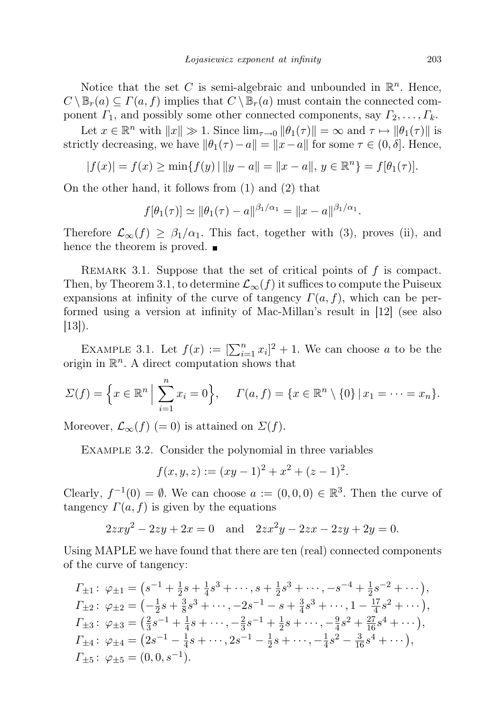Notice that the set C is semi-algebraic and unbounded in  $\mathbb{R}^n$ . Hence,  $C \setminus \mathbb{B}_r(a) \subseteq \Gamma(a, f)$  implies that  $C \setminus \mathbb{B}_r(a)$  must contain the connected component  $\Gamma_1$ , and possibly some other connected components, say  $\Gamma_2, \ldots, \Gamma_k$ .

Let  $x \in \mathbb{R}^n$  with  $||x|| \gg 1$ . Since  $\lim_{\tau \to 0} ||\theta_1(\tau)|| = \infty$  and  $\tau \mapsto ||\theta_1(\tau)||$  is strictly decreasing, we have  $\|\theta_1(\tau) - a\| = \|x - a\|$  for some  $\tau \in (0, \delta]$ . Hence,

$$
|f(x)| = f(x) \ge \min\{f(y) \mid ||y - a|| = ||x - a||, y \in \mathbb{R}^n\} = f[\theta_1(\tau)].
$$

On the other hand, it follows from (1) and (2) that

$$
f[\theta_1(\tau)] \simeq ||\theta_1(\tau) - a||^{\beta_1/\alpha_1} = ||x - a||^{\beta_1/\alpha_1}.
$$

Therefore  $\mathcal{L}_{\infty}(f) \geq \beta_1/\alpha_1$ . This fact, together with (3), proves (ii), and hence the theorem is proved.  $\blacksquare$ 

REMARK 3.1. Suppose that the set of critical points of  $f$  is compact. Then, by Theorem 3.1, to determine  $\mathcal{L}_{\infty}(f)$  it suffices to compute the Puiseux expansions at infinity of the curve of tangency  $\Gamma(a, f)$ , which can be performed using a version at infinity of Mac-Millan's result in [12] (see also [13]).

EXAMPLE 3.1. Let  $f(x) := \left[\sum_{i=1}^n x_i\right]^2 + 1$ . We can choose a to be the origin in  $\mathbb{R}^n$ . A direct computation shows that

$$
\Sigma(f) = \Big\{ x \in \mathbb{R}^n \Big| \sum_{i=1}^n x_i = 0 \Big\}, \quad \Gamma(a, f) = \{ x \in \mathbb{R}^n \setminus \{0\} \, | \, x_1 = \dots = x_n \}.
$$

Moreover,  $\mathcal{L}_{\infty}(f)$  (= 0) is attained on  $\Sigma(f)$ .

EXAMPLE 3.2. Consider the polynomial in three variables

$$
f(x, y, z) := (xy - 1)^{2} + x^{2} + (z - 1)^{2}.
$$

Clearly,  $f^{-1}(0) = \emptyset$ . We can choose  $a := (0,0,0) \in \mathbb{R}^3$ . Then the curve of tangency  $\Gamma(a, f)$  is given by the equations

$$
2zxy^{2} - 2zy + 2x = 0 \text{ and } 2zx^{2}y - 2zx - 2zy + 2y = 0.
$$

Using MAPLE we have found that there are ten (real) connected components of the curve of tangency:

$$
I_{\pm 1}: \varphi_{\pm 1} = (s^{-1} + \frac{1}{2}s + \frac{1}{4}s^3 + \cdots, s + \frac{1}{2}s^3 + \cdots, -s^{-4} + \frac{1}{2}s^{-2} + \cdots),
$$
  
\n
$$
I_{\pm 2}: \varphi_{\pm 2} = (-\frac{1}{2}s + \frac{3}{8}s^3 + \cdots, -2s^{-1} - s + \frac{3}{4}s^3 + \cdots, 1 - \frac{17}{4}s^2 + \cdots),
$$
  
\n
$$
I_{\pm 3}: \varphi_{\pm 3} = (\frac{2}{3}s^{-1} + \frac{1}{4}s + \cdots, -\frac{2}{3}s^{-1} + \frac{1}{2}s + \cdots, -\frac{9}{4}s^2 + \frac{27}{16}s^4 + \cdots),
$$
  
\n
$$
I_{\pm 4}: \varphi_{\pm 4} = (2s^{-1} - \frac{1}{4}s + \cdots, 2s^{-1} - \frac{1}{2}s + \cdots, -\frac{1}{4}s^2 - \frac{3}{16}s^4 + \cdots),
$$
  
\n
$$
I_{\pm 5}: \varphi_{\pm 5} = (0, 0, s^{-1}).
$$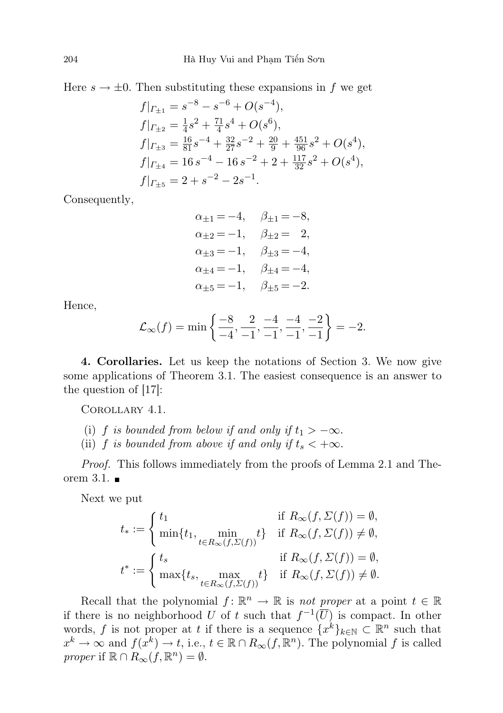Here  $s \to \pm 0$ . Then substituting these expansions in f we get

$$
f|_{\Gamma_{\pm 1}} = s^{-8} - s^{-6} + O(s^{-4}),
$$
  
\n
$$
f|_{\Gamma_{\pm 2}} = \frac{1}{4}s^2 + \frac{71}{4}s^4 + O(s^6),
$$
  
\n
$$
f|_{\Gamma_{\pm 3}} = \frac{16}{81}s^{-4} + \frac{32}{27}s^{-2} + \frac{20}{9} + \frac{451}{96}s^2 + O(s^4),
$$
  
\n
$$
f|_{\Gamma_{\pm 4}} = 16s^{-4} - 16s^{-2} + 2 + \frac{117}{32}s^2 + O(s^4),
$$
  
\n
$$
f|_{\Gamma_{\pm 5}} = 2 + s^{-2} - 2s^{-1}.
$$

Consequently,

$$
\alpha_{\pm 1} = -4, \quad \beta_{\pm 1} = -8, \n\alpha_{\pm 2} = -1, \quad \beta_{\pm 2} = 2, \n\alpha_{\pm 3} = -1, \quad \beta_{\pm 3} = -4, \n\alpha_{\pm 4} = -1, \quad \beta_{\pm 4} = -4, \n\alpha_{\pm 5} = -1, \quad \beta_{\pm 5} = -2.
$$

Hence,

$$
\mathcal{L}_{\infty}(f) = \min\left\{\frac{-8}{-4}, \frac{2}{-1}, \frac{-4}{-1}, \frac{-4}{-1}, \frac{-2}{-1}\right\} = -2.
$$

4. Corollaries. Let us keep the notations of Section 3. We now give some applications of Theorem 3.1. The easiest consequence is an answer to the question of [17]:

Corollary 4.1.

- (i) f is bounded from below if and only if  $t_1 > -\infty$ .
- (ii) f is bounded from above if and only if  $t_s < +\infty$ .

Proof. This follows immediately from the proofs of Lemma 2.1 and Theorem 3.1.  $\blacksquare$ 

Next we put

$$
\begin{aligned} t_*&:=\left\{\begin{aligned} &t_1&\text{if }R_\infty(f,\varSigma(f))=\emptyset,\\ &\min\{t_1,\min_{t\in R_\infty(f,\varSigma(f))}t\}&\text{if }R_\infty(f,\varSigma(f))\ne\emptyset,\\ &t^*:=\left\{\begin{aligned} &t_s&\text{if }R_\infty(f,\varSigma(f))=\emptyset,\\ &\max\{t_s,\max_{t\in R_\infty(f,\varSigma(f))}t\}&\text{if }R_\infty(f,\varSigma(f))\ne\emptyset. \end{aligned}\right. \end{aligned}
$$

Recall that the polynomial  $f: \mathbb{R}^n \to \mathbb{R}$  is not proper at a point  $t \in \mathbb{R}$ if there is no neighborhood U of t such that  $f^{-1}(\overline{U})$  is compact. In other words, f is not proper at t if there is a sequence  $\{x^k\}_{k\in\mathbb{N}}\subset\mathbb{R}^n$  such that  $x^k \to \infty$  and  $f(x^k) \to t$ , i.e.,  $t \in \mathbb{R} \cap R_\infty(f, \mathbb{R}^n)$ . The polynomial f is called proper if  $\mathbb{R} \cap R_{\infty}(f, \mathbb{R}^n) = \emptyset$ .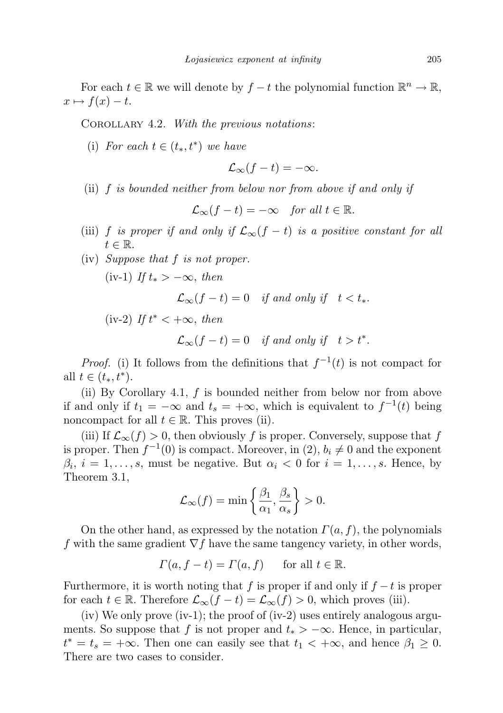For each  $t \in \mathbb{R}$  we will denote by  $f - t$  the polynomial function  $\mathbb{R}^n \to \mathbb{R}$ ,  $x \mapsto f(x) - t.$ 

COROLLARY 4.2. With the previous notations:

(i) For each  $t \in (t_*, t^*)$  we have

$$
\mathcal{L}_{\infty}(f-t)=-\infty.
$$

(ii) f is bounded neither from below nor from above if and only if

$$
\mathcal{L}_{\infty}(f-t)=-\infty \quad for all t \in \mathbb{R}.
$$

- (iii) f is proper if and only if  $\mathcal{L}_{\infty}(f t)$  is a positive constant for all  $t \in \mathbb{R}$ .
- (iv) Suppose that f is not proper.

(iv-1) If  $t_* > -\infty$ , then

$$
\mathcal{L}_{\infty}(f-t) = 0 \quad \text{if and only if} \quad t < t_*.
$$

(iv-2) If  $t^* < +\infty$ , then

 $\mathcal{L}_{\infty}(f-t) = 0$  if and only if  $t > t^*$ .

*Proof.* (i) It follows from the definitions that  $f^{-1}(t)$  is not compact for all  $t \in (t_*, t^*)$ .

(ii) By Corollary 4.1,  $f$  is bounded neither from below nor from above if and only if  $t_1 = -\infty$  and  $t_s = +\infty$ , which is equivalent to  $f^{-1}(t)$  being noncompact for all  $t \in \mathbb{R}$ . This proves (ii).

(iii) If  $\mathcal{L}_{\infty}(f) > 0$ , then obviously f is proper. Conversely, suppose that f is proper. Then  $f^{-1}(0)$  is compact. Moreover, in  $(2)$ ,  $b_i \neq 0$  and the exponent  $\beta_i$ ,  $i = 1, \ldots, s$ , must be negative. But  $\alpha_i < 0$  for  $i = 1, \ldots, s$ . Hence, by Theorem 3.1,

$$
\mathcal{L}_{\infty}(f) = \min\left\{\frac{\beta_1}{\alpha_1}, \frac{\beta_s}{\alpha_s}\right\} > 0.
$$

On the other hand, as expressed by the notation  $\Gamma(a, f)$ , the polynomials f with the same gradient  $\nabla f$  have the same tangency variety, in other words,

$$
\Gamma(a, f - t) = \Gamma(a, f) \quad \text{for all } t \in \mathbb{R}.
$$

Furthermore, it is worth noting that f is proper if and only if  $f - t$  is proper for each  $t \in \mathbb{R}$ . Therefore  $\mathcal{L}_{\infty}(f - t) = \mathcal{L}_{\infty}(f) > 0$ , which proves (iii).

(iv) We only prove (iv-1); the proof of (iv-2) uses entirely analogous arguments. So suppose that f is not proper and  $t_* > -\infty$ . Hence, in particular,  $t^* = t_s = +\infty$ . Then one can easily see that  $t_1 < +\infty$ , and hence  $\beta_1 \geq 0$ . There are two cases to consider.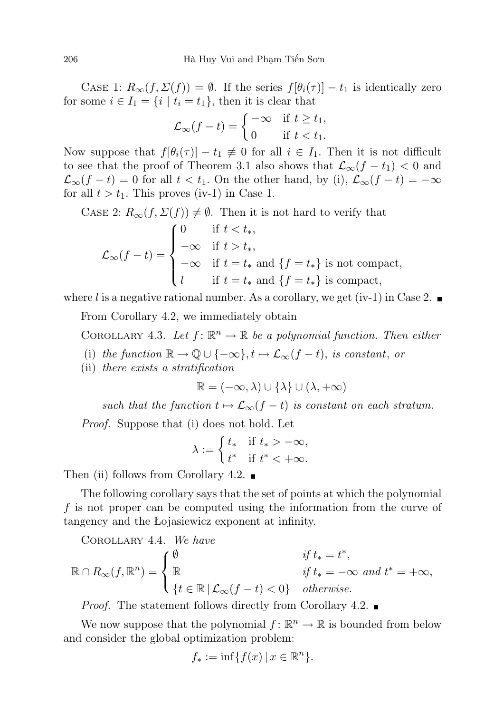CASE 1:  $R_{\infty}(f, \Sigma(f)) = \emptyset$ . If the series  $f[\theta_i(\tau)] - t_1$  is identically zero for some  $i \in I_1 = \{i \mid t_i = t_1\}$ , then it is clear that

$$
\mathcal{L}_{\infty}(f-t) = \begin{cases}\n-\infty & \text{if } t \ge t_1, \\
0 & \text{if } t < t_1.\n\end{cases}
$$

Now suppose that  $f[\theta_i(\tau)] - t_1 \neq 0$  for all  $i \in I_1$ . Then it is not difficult to see that the proof of Theorem 3.1 also shows that  $\mathcal{L}_{\infty}(f - t_1) < 0$  and  $\mathcal{L}_{\infty}(f - t) = 0$  for all  $t < t_1$ . On the other hand, by (i),  $\mathcal{L}_{\infty}(f - t) = -\infty$ for all  $t > t_1$ . This proves (iv-1) in Case 1.

CASE 2:  $R_{\infty}(f, \Sigma(f)) \neq \emptyset$ . Then it is not hard to verify that

$$
\mathcal{L}_{\infty}(f-t) = \begin{cases}\n0 & \text{if } t < t_*, \\
-\infty & \text{if } t > t_*, \\
-\infty & \text{if } t = t_* \text{ and } \{f = t_*\} \text{ is not compact,} \\
l & \text{if } t = t_* \text{ and } \{f = t_*\} \text{ is compact,}\n\end{cases}
$$

where l is a negative rational number. As a corollary, we get (iv-1) in Case 2.

From Corollary 4.2, we immediately obtain

COROLLARY 4.3. Let  $f: \mathbb{R}^n \to \mathbb{R}$  be a polynomial function. Then either

- (i) the function  $\mathbb{R} \to \mathbb{Q} \cup \{-\infty\}, t \mapsto \mathcal{L}_{\infty}(f t)$ , is constant, or
- (ii) there exists a stratification

$$
\mathbb{R}=(-\infty,\lambda)\cup\{\lambda\}\cup(\lambda,+\infty)
$$

such that the function  $t \mapsto \mathcal{L}_{\infty}(f - t)$  is constant on each stratum.

Proof. Suppose that (i) does not hold. Let

$$
\lambda := \begin{cases} t_* & \text{if } t_* > -\infty, \\ t^* & \text{if } t^* < +\infty. \end{cases}
$$

Then (ii) follows from Corollary 4.2.  $\blacksquare$ 

The following corollary says that the set of points at which the polynomial f is not proper can be computed using the information from the curve of tangency and the Łojasiewicz exponent at infinity.

COROLLARY 4.4. We have  
\n
$$
\mathbb{R} \cap R_{\infty}(f, \mathbb{R}^{n}) = \begin{cases} \emptyset & \text{if } t_{*} = t^{*}, \\ \mathbb{R} & \text{if } t_{*} = -\infty \text{ and } t^{*} = +\infty, \\ \{t \in \mathbb{R} \mid \mathcal{L}_{\infty}(f - t) < 0\} & otherwise. \end{cases}
$$

Proof. The statement follows directly from Corollary 4.2.

We now suppose that the polynomial  $f: \mathbb{R}^n \to \mathbb{R}$  is bounded from below and consider the global optimization problem:

$$
f_* := \inf\{f(x) \, | \, x \in \mathbb{R}^n\}.
$$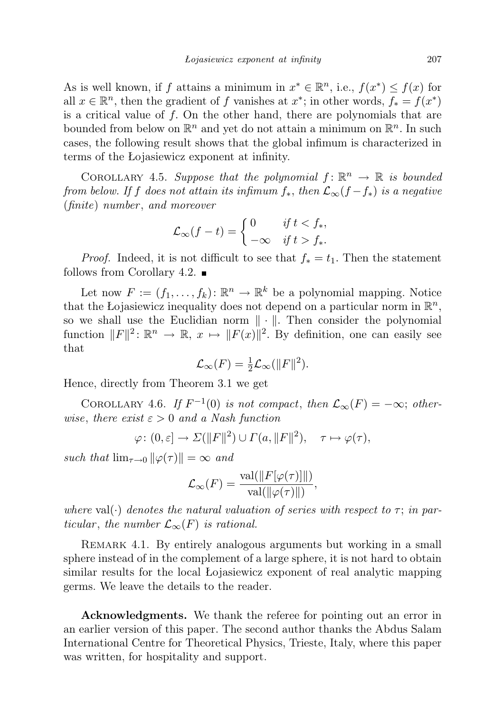As is well known, if f attains a minimum in  $x^* \in \mathbb{R}^n$ , i.e.,  $f(x^*) \leq f(x)$  for all  $x \in \mathbb{R}^n$ , then the gradient of f vanishes at  $x^*$ ; in other words,  $f_* = f(x^*)$ is a critical value of  $f$ . On the other hand, there are polynomials that are bounded from below on  $\mathbb{R}^n$  and yet do not attain a minimum on  $\mathbb{R}^n$ . In such cases, the following result shows that the global infimum is characterized in terms of the Łojasiewicz exponent at infinity.

COROLLARY 4.5. Suppose that the polynomial  $f: \mathbb{R}^n \to \mathbb{R}$  is bounded from below. If f does not attain its infimum  $f_*$ , then  $\mathcal{L}_{\infty}(f - f_*)$  is a negative (finite) number , and moreover

$$
\mathcal{L}_{\infty}(f-t) = \begin{cases} 0 & \text{if } t < f_*, \\ -\infty & \text{if } t > f_*. \end{cases}
$$

*Proof.* Indeed, it is not difficult to see that  $f_* = t_1$ . Then the statement follows from Corollary 4.2.  $\blacksquare$ 

Let now  $F := (f_1, \ldots, f_k) \colon \mathbb{R}^n \to \mathbb{R}^k$  be a polynomial mapping. Notice that the Łojasiewicz inequality does not depend on a particular norm in  $\mathbb{R}^n$ , so we shall use the Euclidian norm  $\|\cdot\|$ . Then consider the polynomial function  $||F||^2: \mathbb{R}^n \to \mathbb{R}, x \mapsto ||F(x)||^2$ . By definition, one can easily see that

$$
\mathcal{L}_{\infty}(F) = \frac{1}{2}\mathcal{L}_{\infty}(\|F\|^2).
$$

Hence, directly from Theorem 3.1 we get

COROLLARY 4.6. If  $F^{-1}(0)$  is not compact, then  $\mathcal{L}_{\infty}(F) = -\infty$ ; otherwise, there exist  $\varepsilon > 0$  and a Nash function

$$
\varphi\colon (0,\varepsilon]\to \Sigma(\|F\|^2)\cup\Gamma(a,\|F\|^2),\quad \tau\mapsto \varphi(\tau),
$$

such that  $\lim_{\tau \to 0} ||\varphi(\tau)|| = \infty$  and

$$
\mathcal{L}_{\infty}(F) = \frac{\text{val}(\|F[\varphi(\tau)]\|)}{\text{val}(\|\varphi(\tau)\|)},
$$

where val( $\cdot$ ) denotes the natural valuation of series with respect to  $\tau$ ; in particular, the number  $\mathcal{L}_{\infty}(F)$  is rational.

REMARK 4.1. By entirely analogous arguments but working in a small sphere instead of in the complement of a large sphere, it is not hard to obtain similar results for the local Łojasiewicz exponent of real analytic mapping germs. We leave the details to the reader.

Acknowledgments. We thank the referee for pointing out an error in an earlier version of this paper. The second author thanks the Abdus Salam International Centre for Theoretical Physics, Trieste, Italy, where this paper was written, for hospitality and support.